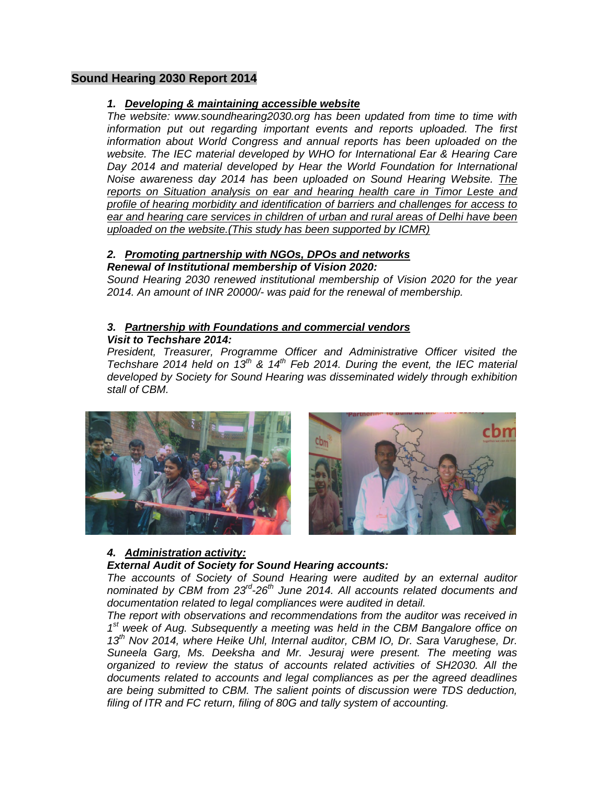## **Sound Hearing 2030 Report 2014**

## *1. Developing & maintaining accessible website*

*The website: www.soundhearing2030.org has been updated from time to time with information put out regarding important events and reports uploaded. The first information about World Congress and annual reports has been uploaded on the website. The IEC material developed by WHO for International Ear & Hearing Care Day 2014 and material developed by Hear the World Foundation for International Noise awareness day 2014 has been uploaded on Sound Hearing Website. The reports on Situation analysis on ear and hearing health care in Timor Leste and profile of hearing morbidity and identification of barriers and challenges for access to ear and hearing care services in children of urban and rural areas of Delhi have been uploaded on the website.(This study has been supported by ICMR)*

# *2. Promoting partnership with NGOs, DPOs and networks*

## *Renewal of Institutional membership of Vision 2020:*

*Sound Hearing 2030 renewed institutional membership of Vision 2020 for the year 2014. An amount of INR 20000/- was paid for the renewal of membership.* 

#### *3. Partnership with Foundations and commercial vendors Visit to Techshare 2014:*

*President, Treasurer, Programme Officer and Administrative Officer visited the Techshare 2014 held on 13th & 14th Feb 2014. During the event, the IEC material developed by Society for Sound Hearing was disseminated widely through exhibition stall of CBM.* 



## *4. Administration activity:*

## *External Audit of Society for Sound Hearing accounts:*

*The accounts of Society of Sound Hearing were audited by an external auditor nominated by CBM from 23rd-26th June 2014. All accounts related documents and documentation related to legal compliances were audited in detail.* 

*The report with observations and recommendations from the auditor was received in 1st week of Aug. Subsequently a meeting was held in the CBM Bangalore office on 13th Nov 2014, where Heike Uhl, Internal auditor, CBM IO, Dr. Sara Varughese, Dr. Suneela Garg, Ms. Deeksha and Mr. Jesuraj were present. The meeting was organized to review the status of accounts related activities of SH2030. All the documents related to accounts and legal compliances as per the agreed deadlines are being submitted to CBM. The salient points of discussion were TDS deduction, filing of ITR and FC return, filing of 80G and tally system of accounting.*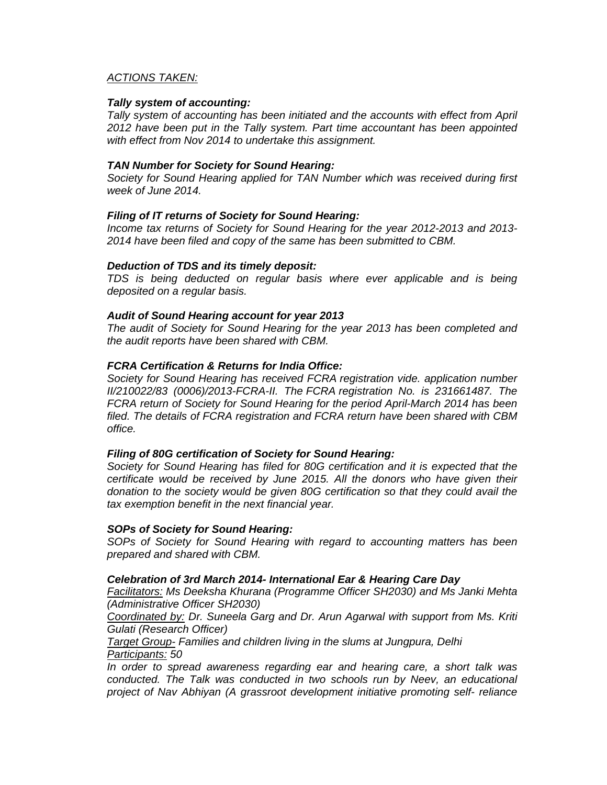#### *ACTIONS TAKEN:*

#### *Tally system of accounting:*

*Tally system of accounting has been initiated and the accounts with effect from April 2012 have been put in the Tally system. Part time accountant has been appointed with effect from Nov 2014 to undertake this assignment.* 

#### *TAN Number for Society for Sound Hearing:*

*Society for Sound Hearing applied for TAN Number which was received during first week of June 2014.* 

#### *Filing of IT returns of Society for Sound Hearing:*

*Income tax returns of Society for Sound Hearing for the year 2012-2013 and 2013- 2014 have been filed and copy of the same has been submitted to CBM.* 

#### *Deduction of TDS and its timely deposit:*

*TDS is being deducted on regular basis where ever applicable and is being deposited on a regular basis.* 

#### *Audit of Sound Hearing account for year 2013*

*The audit of Society for Sound Hearing for the year 2013 has been completed and the audit reports have been shared with CBM.* 

#### *FCRA Certification & Returns for India Office:*

*Society for Sound Hearing has received FCRA registration vide. application number II/210022/83 (0006)/2013-FCRA-II. The FCRA registration No. is 231661487. The FCRA return of Society for Sound Hearing for the period April-March 2014 has been filed. The details of FCRA registration and FCRA return have been shared with CBM office.* 

#### *Filing of 80G certification of Society for Sound Hearing:*

*Society for Sound Hearing has filed for 80G certification and it is expected that the certificate would be received by June 2015. All the donors who have given their donation to the society would be given 80G certification so that they could avail the tax exemption benefit in the next financial year.* 

#### *SOPs of Society for Sound Hearing:*

*SOPs of Society for Sound Hearing with regard to accounting matters has been prepared and shared with CBM.* 

#### *Celebration of 3rd March 2014- International Ear & Hearing Care Day*

*Facilitators: Ms Deeksha Khurana (Programme Officer SH2030) and Ms Janki Mehta (Administrative Officer SH2030)* 

*Coordinated by: Dr. Suneela Garg and Dr. Arun Agarwal with support from Ms. Kriti Gulati (Research Officer)* 

*Target Group- Families and children living in the slums at Jungpura, Delhi Participants: 50* 

*In order to spread awareness regarding ear and hearing care, a short talk was conducted. The Talk was conducted in two schools run by Neev, an educational project of Nav Abhiyan (A grassroot development initiative promoting self- reliance*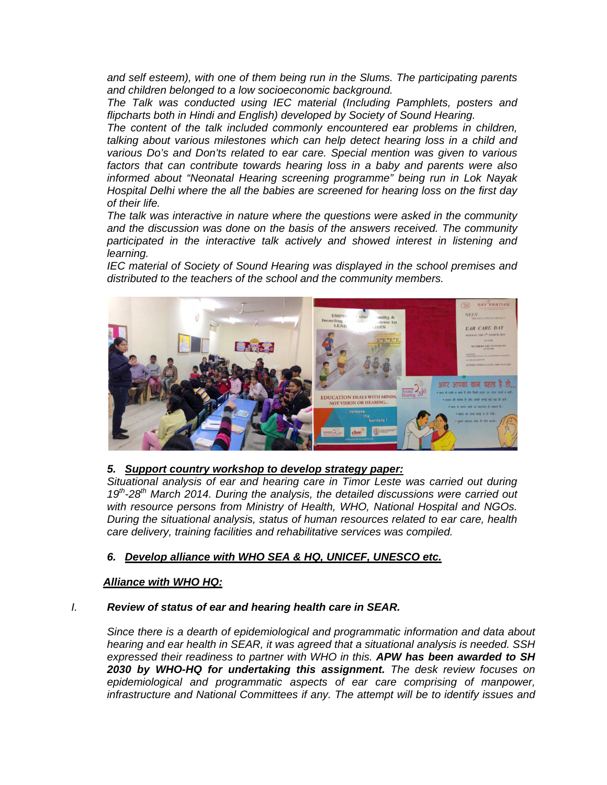*and self esteem), with one of them being run in the Slums. The participating parents and children belonged to a low socioeconomic background.* 

*The Talk was conducted using IEC material (Including Pamphlets, posters and flipcharts both in Hindi and English) developed by Society of Sound Hearing.* 

*The content of the talk included commonly encountered ear problems in children, talking about various milestones which can help detect hearing loss in a child and various Do's and Don'ts related to ear care. Special mention was given to various factors that can contribute towards hearing loss in a baby and parents were also informed about "Neonatal Hearing screening programme" being run in Lok Nayak Hospital Delhi where the all the babies are screened for hearing loss on the first day of their life.* 

*The talk was interactive in nature where the questions were asked in the community and the discussion was done on the basis of the answers received. The community participated in the interactive talk actively and showed interest in listening and learning.* 

*IEC material of Society of Sound Hearing was displayed in the school premises and distributed to the teachers of the school and the community members.* 



#### *5. Support country workshop to develop strategy paper:*

*Situational analysis of ear and hearing care in Timor Leste was carried out during 19th-28th March 2014. During the analysis, the detailed discussions were carried out with resource persons from Ministry of Health, WHO, National Hospital and NGOs. During the situational analysis, status of human resources related to ear care, health care delivery, training facilities and rehabilitative services was compiled.* 

#### *6. Develop alliance with WHO SEA & HQ, UNICEF, UNESCO etc.*

#### *Alliance with WHO HQ:*

#### *I. Review of status of ear and hearing health care in SEAR.*

*Since there is a dearth of epidemiological and programmatic information and data about hearing and ear health in SEAR, it was agreed that a situational analysis is needed. SSH expressed their readiness to partner with WHO in this. APW has been awarded to SH 2030 by WHO-HQ for undertaking this assignment. The desk review focuses on epidemiological and programmatic aspects of ear care comprising of manpower, infrastructure and National Committees if any. The attempt will be to identify issues and*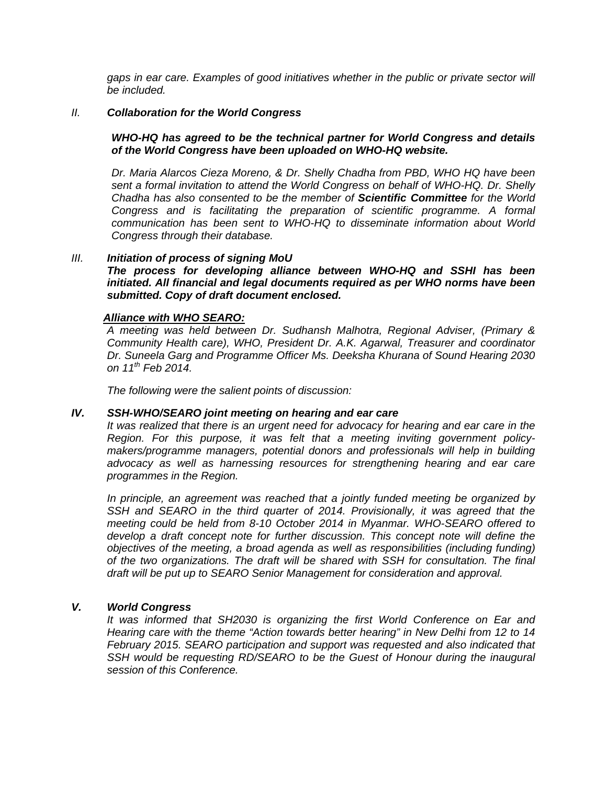*gaps in ear care. Examples of good initiatives whether in the public or private sector will be included.* 

#### *II. Collaboration for the World Congress*

### *WHO-HQ has agreed to be the technical partner for World Congress and details of the World Congress have been uploaded on WHO-HQ website.*

*Dr. Maria Alarcos Cieza Moreno, & Dr. Shelly Chadha from PBD, WHO HQ have been sent a formal invitation to attend the World Congress on behalf of WHO-HQ. Dr. Shelly Chadha has also consented to be the member of Scientific Committee for the World Congress and is facilitating the preparation of scientific programme. A formal communication has been sent to WHO-HQ to disseminate information about World Congress through their database.* 

#### *III. Initiation of process of signing MoU*

*The process for developing alliance between WHO-HQ and SSHI has been initiated. All financial and legal documents required as per WHO norms have been submitted. Copy of draft document enclosed.* 

#### *Alliance with WHO SEARO:*

*A meeting was held between Dr. Sudhansh Malhotra, Regional Adviser, (Primary & Community Health care), WHO, President Dr. A.K. Agarwal, Treasurer and coordinator Dr. Suneela Garg and Programme Officer Ms. Deeksha Khurana of Sound Hearing 2030 on 11th Feb 2014.* 

*The following were the salient points of discussion:* 

#### *IV. SSH-WHO/SEARO joint meeting on hearing and ear care*

*It was realized that there is an urgent need for advocacy for hearing and ear care in the Region. For this purpose, it was felt that a meeting inviting government policymakers/programme managers, potential donors and professionals will help in building advocacy as well as harnessing resources for strengthening hearing and ear care programmes in the Region.* 

*In principle, an agreement was reached that a jointly funded meeting be organized by*  SSH and SEARO in the third quarter of 2014. Provisionally, it was agreed that the *meeting could be held from 8-10 October 2014 in Myanmar. WHO-SEARO offered to develop a draft concept note for further discussion. This concept note will define the objectives of the meeting, a broad agenda as well as responsibilities (including funding) of the two organizations. The draft will be shared with SSH for consultation. The final draft will be put up to SEARO Senior Management for consideration and approval.* 

## *V. World Congress*

*It was informed that SH2030 is organizing the first World Conference on Ear and Hearing care with the theme "Action towards better hearing" in New Delhi from 12 to 14 February 2015. SEARO participation and support was requested and also indicated that*  SSH would be requesting RD/SEARO to be the Guest of Honour during the inaugural *session of this Conference.*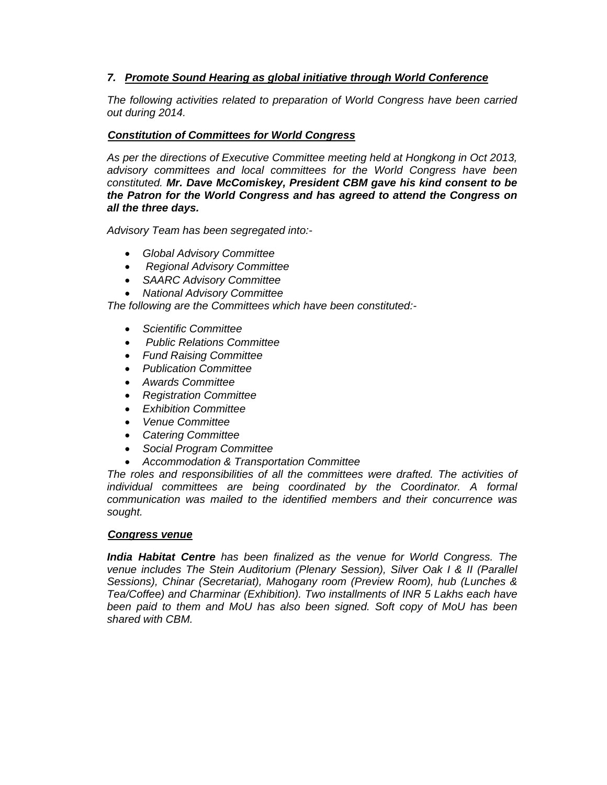## *7. Promote Sound Hearing as global initiative through World Conference*

*The following activities related to preparation of World Congress have been carried out during 2014.* 

## *Constitution of Committees for World Congress*

*As per the directions of Executive Committee meeting held at Hongkong in Oct 2013, advisory committees and local committees for the World Congress have been constituted. Mr. Dave McComiskey, President CBM gave his kind consent to be the Patron for the World Congress and has agreed to attend the Congress on all the three days.*

*Advisory Team has been segregated into:-* 

- *Global Advisory Committee*
- • *Regional Advisory Committee*
- *SAARC Advisory Committee*
- *National Advisory Committee*

*The following are the Committees which have been constituted:-* 

- *Scientific Committee*
- • *Public Relations Committee*
- *Fund Raising Committee*
- *Publication Committee*
- *Awards Committee*
- *Registration Committee*
- *Exhibition Committee*
- *Venue Committee*
- *Catering Committee*
- *Social Program Committee*
- *Accommodation & Transportation Committee*

*The roles and responsibilities of all the committees were drafted. The activities of individual committees are being coordinated by the Coordinator. A formal communication was mailed to the identified members and their concurrence was sought.* 

#### *Congress venue*

*India Habitat Centre has been finalized as the venue for World Congress. The venue includes The Stein Auditorium (Plenary Session), Silver Oak I & II (Parallel Sessions), Chinar (Secretariat), Mahogany room (Preview Room), hub (Lunches & Tea/Coffee) and Charminar (Exhibition). Two installments of INR 5 Lakhs each have been paid to them and MoU has also been signed. Soft copy of MoU has been shared with CBM.*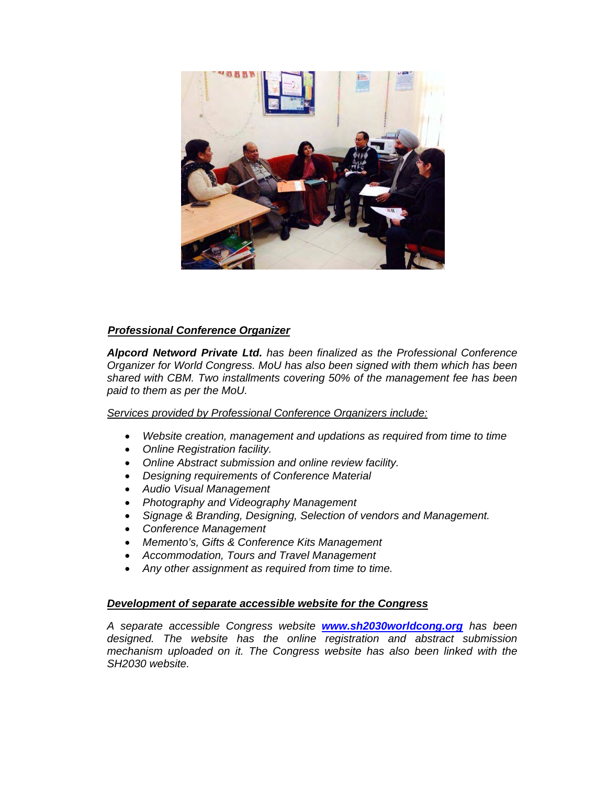

## *Professional Conference Organizer*

*Alpcord Netword Private Ltd. has been finalized as the Professional Conference Organizer for World Congress. MoU has also been signed with them which has been shared with CBM. Two installments covering 50% of the management fee has been paid to them as per the MoU.* 

*Services provided by Professional Conference Organizers include:*

- *Website creation, management and updations as required from time to time*
- *Online Registration facility.*
- *Online Abstract submission and online review facility.*
- *Designing requirements of Conference Material*
- *Audio Visual Management*
- *Photography and Videography Management*
- *Signage & Branding, Designing, Selection of vendors and Management.*
- *Conference Management*
- *Memento's, Gifts & Conference Kits Management*
- *Accommodation, Tours and Travel Management*
- *Any other assignment as required from time to time.*

## *Development of separate accessible website for the Congress*

*A separate accessible Congress website www.sh2030worldcong.org has been designed. The website has the online registration and abstract submission mechanism uploaded on it. The Congress website has also been linked with the SH2030 website.*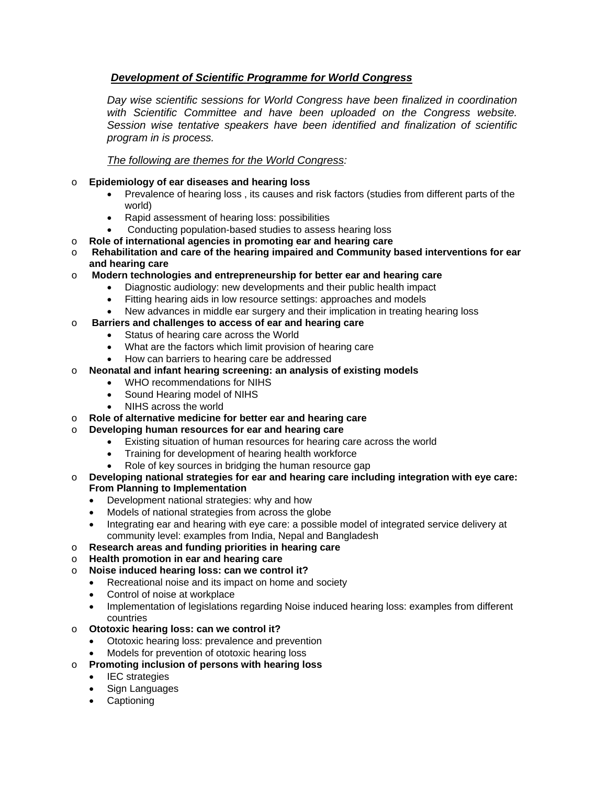## *Development of Scientific Programme for World Congress*

*Day wise scientific sessions for World Congress have been finalized in coordination with Scientific Committee and have been uploaded on the Congress website. Session wise tentative speakers have been identified and finalization of scientific program in is process.* 

## *The following are themes for the World Congress:*

#### o **Epidemiology of ear diseases and hearing loss**

- Prevalence of hearing loss , its causes and risk factors (studies from different parts of the world)
- Rapid assessment of hearing loss: possibilities
- Conducting population-based studies to assess hearing loss
- o **Role of international agencies in promoting ear and hearing care**
- o **Rehabilitation and care of the hearing impaired and Community based interventions for ear and hearing care**
- o **Modern technologies and entrepreneurship for better ear and hearing care** 
	- Diagnostic audiology: new developments and their public health impact
	- Fitting hearing aids in low resource settings: approaches and models
	- New advances in middle ear surgery and their implication in treating hearing loss

## o **Barriers and challenges to access of ear and hearing care**

- Status of hearing care across the World
- What are the factors which limit provision of hearing care
- How can barriers to hearing care be addressed
- o **Neonatal and infant hearing screening: an analysis of existing models** 
	- WHO recommendations for NIHS
	- Sound Hearing model of NIHS
	- NIHS across the world
- o **Role of alternative medicine for better ear and hearing care**
- o **Developing human resources for ear and hearing care** 
	- Existing situation of human resources for hearing care across the world
	- Training for development of hearing health workforce
	- Role of key sources in bridging the human resource gap
- o **Developing national strategies for ear and hearing care including integration with eye care: From Planning to Implementation** 
	- Development national strategies: why and how
	- Models of national strategies from across the globe
	- Integrating ear and hearing with eye care: a possible model of integrated service delivery at community level: examples from India, Nepal and Bangladesh
- o **Research areas and funding priorities in hearing care**
- o **Health promotion in ear and hearing care**
- o **Noise induced hearing loss: can we control it?** 
	- Recreational noise and its impact on home and society
		- Control of noise at workplace
		- Implementation of legislations regarding Noise induced hearing loss: examples from different countries
- o **Ototoxic hearing loss: can we control it?** 
	- Ototoxic hearing loss: prevalence and prevention
	- Models for prevention of ototoxic hearing loss
- o **Promoting inclusion of persons with hearing loss** 
	- **IEC** strategies
	- Sign Languages
	- Captioning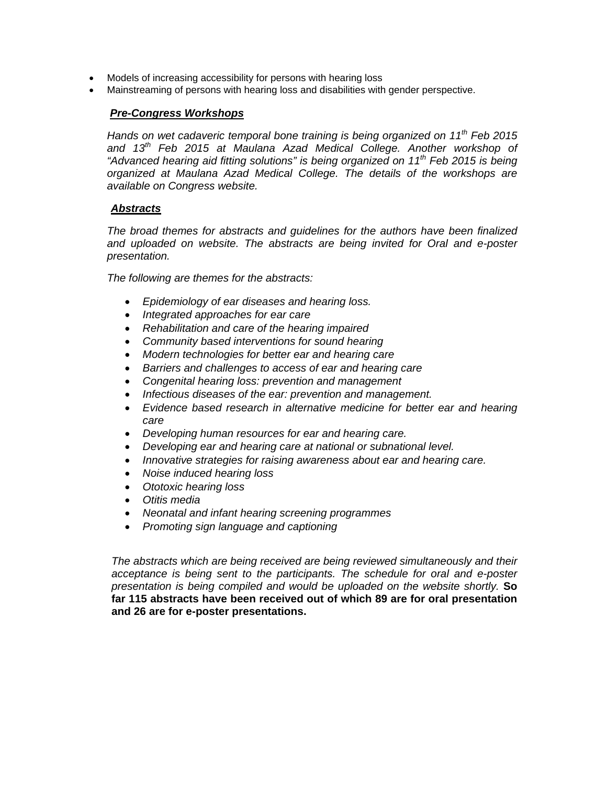- Models of increasing accessibility for persons with hearing loss
- Mainstreaming of persons with hearing loss and disabilities with gender perspective.

#### *Pre-Congress Workshops*

*Hands on wet cadaveric temporal bone training is being organized on 11th Feb 2015 and 13th Feb 2015 at Maulana Azad Medical College. Another workshop of "Advanced hearing aid fitting solutions" is being organized on 11th Feb 2015 is being organized at Maulana Azad Medical College. The details of the workshops are available on Congress website.*

#### *Abstracts*

*The broad themes for abstracts and guidelines for the authors have been finalized and uploaded on website. The abstracts are being invited for Oral and e-poster presentation.* 

*The following are themes for the abstracts:* 

- *Epidemiology of ear diseases and hearing loss.*
- *Integrated approaches for ear care*
- *Rehabilitation and care of the hearing impaired*
- *Community based interventions for sound hearing*
- *Modern technologies for better ear and hearing care*
- *Barriers and challenges to access of ear and hearing care*
- *Congenital hearing loss: prevention and management*
- *Infectious diseases of the ear: prevention and management.*
- *Evidence based research in alternative medicine for better ear and hearing care*
- *Developing human resources for ear and hearing care.*
- *Developing ear and hearing care at national or subnational level.*
- *Innovative strategies for raising awareness about ear and hearing care.*
- *Noise induced hearing loss*
- *Ototoxic hearing loss*
- *Otitis media*
- *Neonatal and infant hearing screening programmes*
- *Promoting sign language and captioning*

*The abstracts which are being received are being reviewed simultaneously and their acceptance is being sent to the participants. The schedule for oral and e-poster presentation is being compiled and would be uploaded on the website shortly.* **So far 115 abstracts have been received out of which 89 are for oral presentation and 26 are for e-poster presentations.**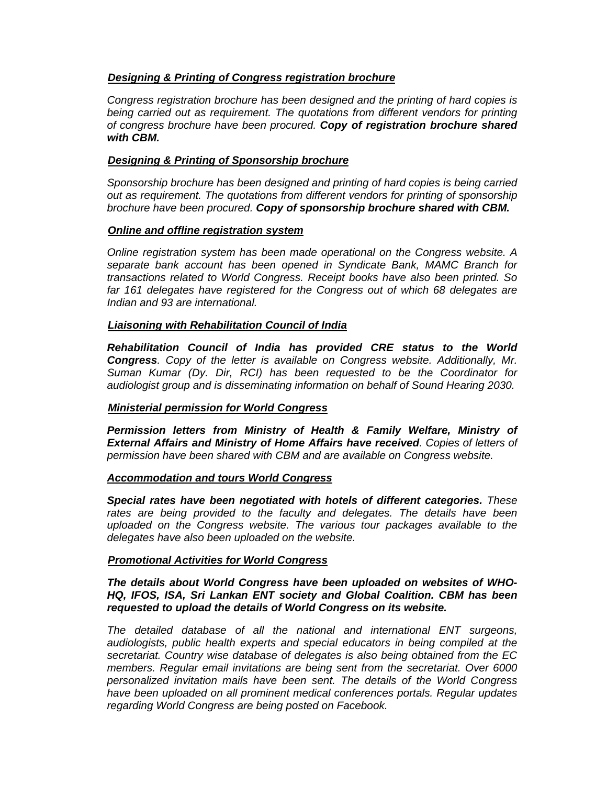## *Designing & Printing of Congress registration brochure*

*Congress registration brochure has been designed and the printing of hard copies is being carried out as requirement. The quotations from different vendors for printing of congress brochure have been procured. Copy of registration brochure shared with CBM.*

### *Designing & Printing of Sponsorship brochure*

*Sponsorship brochure has been designed and printing of hard copies is being carried out as requirement. The quotations from different vendors for printing of sponsorship brochure have been procured. Copy of sponsorship brochure shared with CBM.*

#### *Online and offline registration system*

*Online registration system has been made operational on the Congress website. A separate bank account has been opened in Syndicate Bank, MAMC Branch for transactions related to World Congress. Receipt books have also been printed. So far 161 delegates have registered for the Congress out of which 68 delegates are Indian and 93 are international.* 

## *Liaisoning with Rehabilitation Council of India*

*Rehabilitation Council of India has provided CRE status to the World Congress. Copy of the letter is available on Congress website. Additionally, Mr. Suman Kumar (Dy. Dir, RCI) has been requested to be the Coordinator for audiologist group and is disseminating information on behalf of Sound Hearing 2030.* 

## *Ministerial permission for World Congress*

*Permission letters from Ministry of Health & Family Welfare, Ministry of External Affairs and Ministry of Home Affairs have received. Copies of letters of permission have been shared with CBM and are available on Congress website.* 

#### *Accommodation and tours World Congress*

*Special rates have been negotiated with hotels of different categories. These*  rates are being provided to the faculty and delegates. The details have been uploaded on the Congress website. The various tour packages available to the *delegates have also been uploaded on the website.* 

## *Promotional Activities for World Congress*

*The details about World Congress have been uploaded on websites of WHO-HQ, IFOS, ISA, Sri Lankan ENT society and Global Coalition. CBM has been requested to upload the details of World Congress on its website.* 

*The detailed database of all the national and international ENT surgeons, audiologists, public health experts and special educators in being compiled at the secretariat. Country wise database of delegates is also being obtained from the EC members. Regular email invitations are being sent from the secretariat. Over 6000 personalized invitation mails have been sent. The details of the World Congress have been uploaded on all prominent medical conferences portals. Regular updates regarding World Congress are being posted on Facebook.*